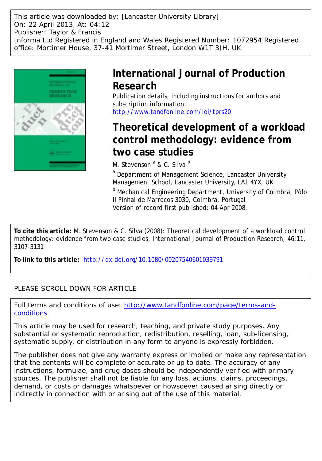This article was downloaded by: [Lancaster University Library] On: 22 April 2013, At: 04:12 Publisher: Taylor & Francis Informa Ltd Registered in England and Wales Registered Number: 1072954 Registered office: Mortimer House, 37-41 Mortimer Street, London W1T 3JH, UK



# **International Journal of Production Research**

Publication details, including instructions for authors and subscription information:

<http://www.tandfonline.com/loi/tprs20>

# **Theoretical development of a workload control methodology: evidence from two case studies**

M. Stevenson <sup>a</sup> & C. Silva <sup>b</sup>

<sup>a</sup> Department of Management Science, Lancaster University Management School, Lancaster University, LA1 4YX, UK

<sup>b</sup> Mechanical Engineering Department, University of Coimbra, Pòlo II Pinhal de Marrocos 3030, Coimbra, Portugal Version of record first published: 04 Apr 2008.

**To cite this article:** M. Stevenson & C. Silva (2008): Theoretical development of a workload control methodology: evidence from two case studies, International Journal of Production Research, 46:11, 3107-3131

**To link to this article:** <http://dx.doi.org/10.1080/00207540601039791>

# PLEASE SCROLL DOWN FOR ARTICLE

Full terms and conditions of use: [http://www.tandfonline.com/page/terms-and](http://www.tandfonline.com/page/terms-and-conditions)[conditions](http://www.tandfonline.com/page/terms-and-conditions)

This article may be used for research, teaching, and private study purposes. Any substantial or systematic reproduction, redistribution, reselling, loan, sub-licensing, systematic supply, or distribution in any form to anyone is expressly forbidden.

The publisher does not give any warranty express or implied or make any representation that the contents will be complete or accurate or up to date. The accuracy of any instructions, formulae, and drug doses should be independently verified with primary sources. The publisher shall not be liable for any loss, actions, claims, proceedings, demand, or costs or damages whatsoever or howsoever caused arising directly or indirectly in connection with or arising out of the use of this material.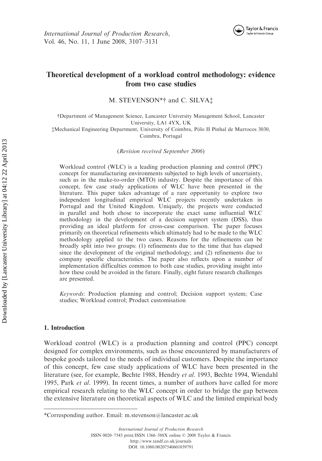

# Theoretical development of a workload control methodology: evidence from two case studies

M. STEVENSON\*† and C. SILVA‡

yDepartment of Management Science, Lancaster University Management School, Lancaster University, LA1 4YX, UK

zMechanical Engineering Department, University of Coimbra, Po`lo II Pinhal de Marrocos 3030, Coimbra, Portugal

(Revision received September 2006)

Workload control (WLC) is a leading production planning and control (PPC) concept for manufacturing environments subjected to high levels of uncertainty, such as in the make-to-order (MTO) industry. Despite the importance of this concept, few case study applications of WLC have been presented in the literature. This paper takes advantage of a rare opportunity to explore two independent longitudinal empirical WLC projects recently undertaken in Portugal and the United Kingdom. Uniquely, the projects were conducted in parallel and both chose to incorporate the exact same influential WLC methodology in the development of a decision support system (DSS), thus providing an ideal platform for cross-case comparison. The paper focuses primarily on theoretical refinements which ultimately had to be made to the WLC methodology applied to the two cases. Reasons for the refinements can be broadly split into two groups: (1) refinements due to the time that has elapsed since the development of the original methodology; and (2) refinements due to company specific characteristics. The paper also reflects upon a number of implementation difficulties common to both case studies, providing insight into how these could be avoided in the future. Finally, eight future research challenges are presented.

Keywords: Production planning and control; Decision support system; Case studies; Workload control; Product customisation

# 1. Introduction

Workload control (WLC) is a production planning and control (PPC) concept designed for complex environments, such as those encountered by manufacturers of bespoke goods tailored to the needs of individual customers. Despite the importance of this concept, few case study applications of WLC have been presented in the literature (see, for example, Bechte 1988, Hendry et al. 1993, Bechte 1994, Wiendahl 1995, Park *et al.* 1999). In recent times, a number of authors have called for more empirical research relating to the WLC concept in order to bridge the gap between the extensive literature on theoretical aspects of WLC and the limited empirical body

<sup>\*</sup>Corresponding author. Email: m.stevenson@lancaster.ac.uk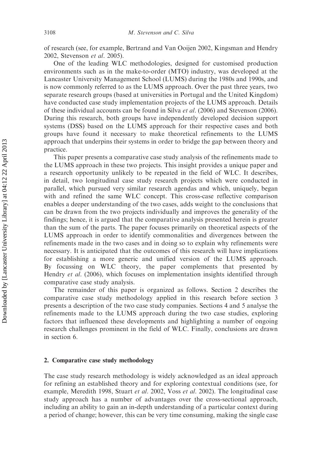of research (see, for example, Bertrand and Van Ooijen 2002, Kingsman and Hendry 2002, Stevenson et al. 2005).

One of the leading WLC methodologies, designed for customised production environments such as in the make-to-order (MTO) industry, was developed at the Lancaster University Management School (LUMS) during the 1980s and 1990s, and is now commonly referred to as the LUMS approach. Over the past three years, two separate research groups (based at universities in Portugal and the United Kingdom) have conducted case study implementation projects of the LUMS approach. Details of these individual accounts can be found in Silva et al. (2006) and Stevenson (2006). During this research, both groups have independently developed decision support systems (DSS) based on the LUMS approach for their respective cases and both groups have found it necessary to make theoretical refinements to the LUMS approach that underpins their systems in order to bridge the gap between theory and practice.

This paper presents a comparative case study analysis of the refinements made to the LUMS approach in these two projects. This insight provides a unique paper and a research opportunity unlikely to be repeated in the field of WLC. It describes, in detail, two longitudinal case study research projects which were conducted in parallel, which pursued very similar research agendas and which, uniquely, began with and refined the same WLC concept. This cross-case reflective comparison enables a deeper understanding of the two cases, adds weight to the conclusions that can be drawn from the two projects individually and improves the generality of the findings; hence, it is argued that the comparative analysis presented herein is greater than the sum of the parts. The paper focuses primarily on theoretical aspects of the LUMS approach in order to identify commonalities and divergences between the refinements made in the two cases and in doing so to explain why refinements were necessary. It is anticipated that the outcomes of this research will have implications for establishing a more generic and unified version of the LUMS approach. By focussing on WLC theory, the paper complements that presented by Hendry et al. (2006), which focuses on implementation insights identified through comparative case study analysis.

The remainder of this paper is organized as follows. Section 2 describes the comparative case study methodology applied in this research before section 3 presents a description of the two case study companies. Sections 4 and 5 analyse the refinements made to the LUMS approach during the two case studies, exploring factors that influenced these developments and highlighting a number of ongoing research challenges prominent in the field of WLC. Finally, conclusions are drawn in section 6.

#### 2. Comparative case study methodology

The case study research methodology is widely acknowledged as an ideal approach for refining an established theory and for exploring contextual conditions (see, for example, Meredith 1998, Stuart *et al.* 2002, Voss *et al.* 2002). The longitudinal case study approach has a number of advantages over the cross-sectional approach, including an ability to gain an in-depth understanding of a particular context during a period of change; however, this can be very time consuming, making the single case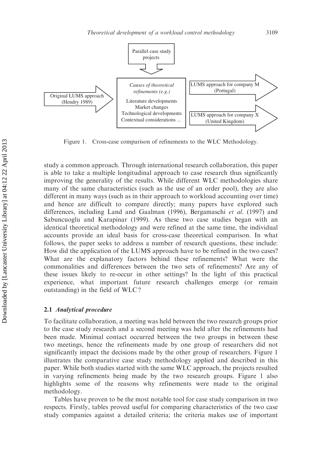

Figure 1. Cross-case comparison of refinements to the WLC Methodology.

study a common approach. Through international research collaboration, this paper is able to take a multiple longitudinal approach to case research thus significantly improving the generality of the results. While different WLC methodologies share many of the same characteristics (such as the use of an order pool), they are also different in many ways (such as in their approach to workload accounting over time) and hence are difficult to compare directly; many papers have explored such differences, including Land and Gaalman (1996), Bergamaschi et al. (1997) and Sabuncuoglu and Karapinar (1999). As these two case studies began with an identical theoretical methodology and were refined at the same time, the individual accounts provide an ideal basis for cross-case theoretical comparison. In what follows, the paper seeks to address a number of research questions, these include: How did the application of the LUMS approach have to be refined in the two cases? What are the explanatory factors behind these refinements? What were the commonalities and differences between the two sets of refinements? Are any of these issues likely to re-occur in other settings? In the light of this practical experience, what important future research challenges emerge (or remain outstanding) in the field of WLC ?

#### 2.1 Analytical procedure

To facilitate collaboration, a meeting was held between the two research groups prior to the case study research and a second meeting was held after the refinements had been made. Minimal contact occurred between the two groups in between these two meetings, hence the refinements made by one group of researchers did not significantly impact the decisions made by the other group of researchers. Figure 1 illustrates the comparative case study methodology applied and described in this paper. While both studies started with the same WLC approach, the projects resulted in varying refinements being made by the two research groups. Figure 1 also highlights some of the reasons why refinements were made to the original methodology.

Tables have proven to be the most notable tool for case study comparison in two respects. Firstly, tables proved useful for comparing characteristics of the two case study companies against a detailed criteria; the criteria makes use of important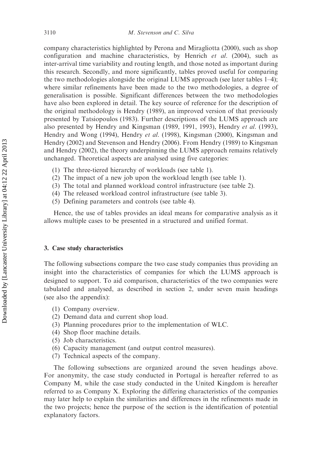company characteristics highlighted by Perona and Miragliotta (2000), such as shop configuration and machine characteristics, by Henrich *et al.* (2004), such as inter-arrival time variability and routing length, and those noted as important during this research. Secondly, and more significantly, tables proved useful for comparing the two methodologies alongside the original LUMS approach (see later tables 1–4); where similar refinements have been made to the two methodologies, a degree of generalisation is possible. Significant differences between the two methodologies have also been explored in detail. The key source of reference for the description of the original methodology is Hendry (1989), an improved version of that previously presented by Tatsiopoulos (1983). Further descriptions of the LUMS approach are also presented by Hendry and Kingsman (1989, 1991, 1993), Hendry et al. (1993), Hendry and Wong (1994), Hendry et al. (1998), Kingsman (2000), Kingsman and Hendry (2002) and Stevenson and Hendry (2006). From Hendry (1989) to Kingsman and Hendry (2002), the theory underpinning the LUMS approach remains relatively unchanged. Theoretical aspects are analysed using five categories:

- (1) The three-tiered hierarchy of workloads (see table 1).
- (2) The impact of a new job upon the workload length (see table 1).
- (3) The total and planned workload control infrastructure (see table 2).
- (4) The released workload control infrastructure (see table 3).
- (5) Defining parameters and controls (see table 4).

Hence, the use of tables provides an ideal means for comparative analysis as it allows multiple cases to be presented in a structured and unified format.

#### 3. Case study characteristics

The following subsections compare the two case study companies thus providing an insight into the characteristics of companies for which the LUMS approach is designed to support. To aid comparison, characteristics of the two companies were tabulated and analysed, as described in section 2, under seven main headings (see also the appendix):

- (1) Company overview.
- (2) Demand data and current shop load.
- (3) Planning procedures prior to the implementation of WLC.
- (4) Shop floor machine details.
- (5) Job characteristics.
- (6) Capacity management (and output control measures).
- (7) Technical aspects of the company.

The following subsections are organized around the seven headings above. For anonymity, the case study conducted in Portugal is hereafter referred to as Company M, while the case study conducted in the United Kingdom is hereafter referred to as Company X. Exploring the differing characteristics of the companies may later help to explain the similarities and differences in the refinements made in the two projects; hence the purpose of the section is the identification of potential explanatory factors.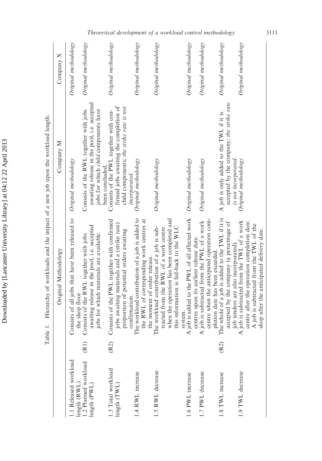Table 1. Hierarchy of workloads and the impact of a new job upon the workload length. Table 1. Hierarchy of workloads and the impact of a new job upon the workload length.

Downloaded by [Lancaster University Library] at 04:12 22 April 2013 Downloaded by [Lancaster University Library] at 04:12 22 April 2013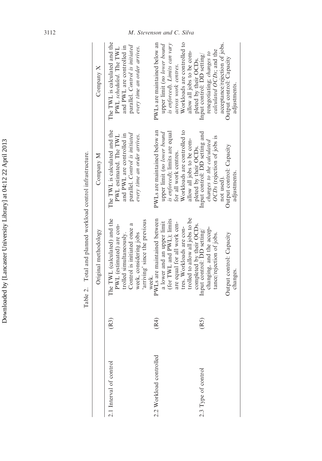| ļ<br>۱<br>֠ |
|-------------|
|             |
| ¢           |
| l           |
| í<br>֠      |
| l           |
| i           |
|             |
| ֠           |
|             |
|             |
|             |
| ١<br>Ï      |
|             |
| i           |
| l           |
| I           |
|             |
| J           |
|             |
|             |
| I           |
| i           |
|             |
|             |
|             |
|             |
| I           |
| I.          |
| j<br>֚֡֕֡   |
|             |
|             |
|             |
|             |
|             |
|             |
| ļ           |
|             |

|                         |      | Table 2. Total and planned workload control infrastructure.                                                                                                                                                  |                                                                                                                                                                                                        |                                                                                                                                                                                                  |
|-------------------------|------|--------------------------------------------------------------------------------------------------------------------------------------------------------------------------------------------------------------|--------------------------------------------------------------------------------------------------------------------------------------------------------------------------------------------------------|--------------------------------------------------------------------------------------------------------------------------------------------------------------------------------------------------|
|                         |      | Original methodology                                                                                                                                                                                         | Company M                                                                                                                                                                                              | Company $X$                                                                                                                                                                                      |
| 2.1 Interval of control | (R3) | The TWL (calculated) and the<br>Control is initiated once a<br>PWL (estimated) are con-<br>trolled simultaneously.<br>week, considering jobs                                                                 | The TWL is calculated and the<br>parallel. Control is initiated<br>PWL estimated. The TWL<br>and PWL are controlled in<br>every time an order arrives.                                                 | The TWL is calculated and the<br>parallel. Control is initiated<br>and PWL are controlled in<br>every time an order arrives.<br>PWL scheduled. The TWL                                           |
| 2.2 Workload controlled | (R4) | PWLs are maintained between<br>(for TWL and PWL); limits<br>'arriving' since the previous<br>a lower and an upper limit<br>week.                                                                             | PWLs are maintained below an<br>is enforced); limits are equal<br>upper limit (no lower bound                                                                                                          | PWLs are maintained below an<br>is enforced). Limits can vary<br>upper limit (no lower bound                                                                                                     |
| 2.3 Type of control     | (R5) | trolled to allow all jobs to be<br>are equal for all work cen-<br>completed by their OCDs.<br>tres. Workloads are con-<br>changing, and the accep-<br>Input control: DD setting/<br>tance/rejection of jobs. | Workloads are controlled to<br>Input control: DD setting and<br>OCDs (rejection of jobs is<br>allow all jobs to be com-<br>changes to the calculated<br>pleted by their OCDs.<br>for all work centres. | Workloads are controlled to<br>calculated OCDs; and the<br>allow all jobs to be com-<br>renegotiating; changes to<br>Input control: DD setting/<br>pleted by their OCDs.<br>across work centres. |
|                         |      | Output control: Capacity<br>changes.                                                                                                                                                                         | Output control: Capacity<br>adjustments.<br>not used).                                                                                                                                                 | acceptance/rejection of jobs.<br>Output control: Capacity<br>adjustments.                                                                                                                        |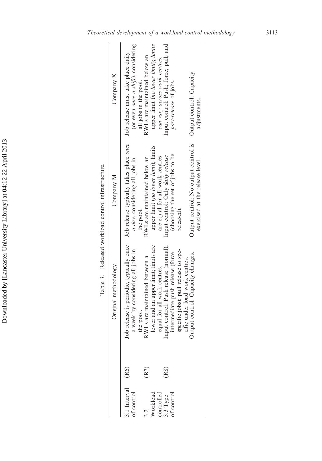Downloaded by [Lancaster University Library] at 04:12 22 April 2013 Downloaded by [Lancaster University Library] at 04:12 22 April 2013

|                                                         |      |                                                                                                                   | Table 3. Released workload control infrastructure.                                                                            |                                                                                                       |
|---------------------------------------------------------|------|-------------------------------------------------------------------------------------------------------------------|-------------------------------------------------------------------------------------------------------------------------------|-------------------------------------------------------------------------------------------------------|
|                                                         |      | Original methodology                                                                                              | Company M                                                                                                                     | Compary X                                                                                             |
| .1 Interval (R6)<br>of control                          |      | a week by considering all jobs in<br>the pool.                                                                    | Job release is periodic, typically once Job release typically takes place once<br>a day, considering all jobs in<br>the pool. | (or even once a shift), considering<br>Job release must take place daily<br>all jobs in the pool.     |
| 3.2<br>Workload<br>controlled<br>3.3 Type<br>of control | (R7) | lower and an upper limit; limits are<br>RWLs are maintained between a<br>equal for all work centres.              | upper limit (no lower limit); limits<br>RWLs are maintained below an<br>are equal for all work centres                        | upper limit (no lower limit); limits<br>RWLs are maintained below an<br>can vary across work centres. |
|                                                         | (R8) | Input control: Push release (normal);<br>specific jobs); pull release to spe-<br>intermediate push release (force | (choosing the set of jobs to be<br>Input control: Only <i>daily release</i><br>released).                                     | Input control: Push; force; pull; and<br>part-release of jobs.                                        |
|                                                         |      | Output control: Capacity changes.<br>cific under load work centres.                                               | Output control: No output control is<br>exercised at the release level.                                                       | Output control: Capacity<br>adjustments.                                                              |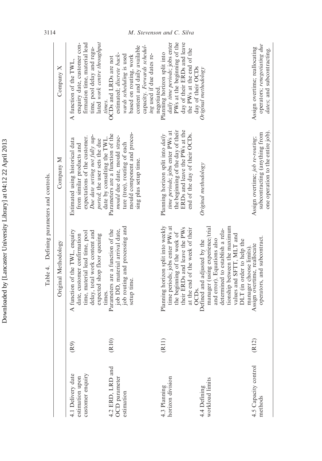| ׇׇ֠֕֡              |
|--------------------|
| l                  |
|                    |
|                    |
| l                  |
| ı                  |
| l<br>l             |
| I                  |
| $\frac{1}{2}$<br>l |
|                    |
|                    |
|                    |
|                    |
|                    |
|                    |
| I<br>١             |
|                    |
|                    |
| í<br>i             |
| l                  |
| I                  |
|                    |
| l                  |
| J<br>í             |
|                    |
|                    |
| i                  |
| ו<br>ו             |
|                    |
|                    |
|                    |
|                    |
|                    |
|                    |
| ׇ֚֘                |
|                    |
| ١                  |
|                    |
|                    |
|                    |
|                    |
|                    |
|                    |
|                    |
|                    |
| ļ                  |

|                                                          |       | Table 4. Defining parameters and controls.                                                                                                                                                                                                     |                                                                                                                                                                                         |                                                                                                                                                                                                               |
|----------------------------------------------------------|-------|------------------------------------------------------------------------------------------------------------------------------------------------------------------------------------------------------------------------------------------------|-----------------------------------------------------------------------------------------------------------------------------------------------------------------------------------------|---------------------------------------------------------------------------------------------------------------------------------------------------------------------------------------------------------------|
|                                                          |       | Original Methodology                                                                                                                                                                                                                           | Company M                                                                                                                                                                               | Company $X$                                                                                                                                                                                                   |
| 4.1 Delivery date<br>customer enquiry<br>estimation upon | (R9)  | A function of the TWL, enquiry<br>delay, total work content and<br>time, material lead time, pool<br>date, customer confirmation<br>expected shop floor queuing                                                                                | Due date setting not fully sup-<br>expectations of the customer.<br>Estimated using historical data<br>ported; the user sets the due<br>from similar products and                       | lated work centre throughput<br>firmation time, material lead<br>enquiry date, customer con-<br>time, pool delay and regu-<br>A function of the TWL,                                                          |
| 4.2 ERD, LRD and<br>OCD parameter<br>estimation          | (R10) | job routing and processing and<br>job DD, material arrival date,<br>Parameters are a function of the<br>setup time.<br>times.                                                                                                                  | mould component and proces-<br>Parameters are a function of the<br>mould due date, mould struc-<br>date by consulting the TWL.<br>ture (tree), routing of each<br>sing plus setup time. | content and daily available<br>capacity. Forwards schedul-<br>estimated; discrete back-<br>wards scheduling is used<br>ing used if due dates re-<br>based on routing, work<br>OCDs and LRDs are not<br>times. |
| horizon division<br>4.3 Planning                         | (R11) | Planning horizon split into weekly<br>time periods; jobs enter PWs at<br>their ERDs and leave the PWs<br>at the end of the week of their<br>the beginning of the week of                                                                       | ERDs and leave the PWs at the<br>the beginning of the day of their<br>time periods; jobs enter PWs at<br>end of the day of their OCDs.<br>Planning horizon split into daily             | daily time periods; jobs enter<br>PWs at the beginning of the<br>day of their ERDs and leave<br>the PWs at the end of the<br>Planning horizon split into<br>negotiated.                                       |
| workload limits<br>4.4 Defining                          |       | tionship between the maximum<br>manager (using experience/trial<br>determined to establish a rela-<br>values and SFTT, MLT and<br>and error). Equations also<br>DLT (in order to help the<br>Defined and adjusted by the<br>OCD <sub>s</sub> . | Original methodology                                                                                                                                                                    | day of their OCDs<br>Original methodology                                                                                                                                                                     |
| 4.5 Capacity control<br>methods                          | (R12) | operators, and subcontract.<br>Assign overtime, reallocate<br>manager choose limits)                                                                                                                                                           | one operation to the entire job).<br>subcontracting (anything from<br>Assign overtime; job re-routing;                                                                                  | operators; renegotiating due<br>Assign overtime; reallocating<br>dates; and subcontracting.                                                                                                                   |

Table 4. Defining parameters and controls.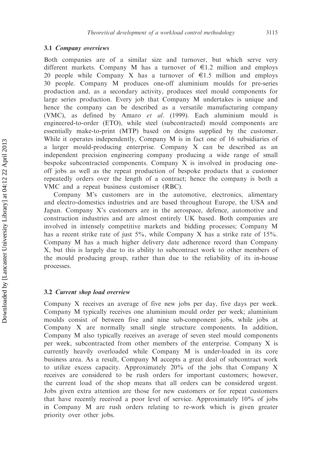#### 3.1 Company overviews

Both companies are of a similar size and turnover, but which serve very different markets. Company M has a turnover of  $\epsilon$ 1.2 million and employs 20 people while Company X has a turnover of  $\epsilon$ 1.5 million and employs 30 people. Company M produces one-off aluminium moulds for pre-series production and, as a secondary activity, produces steel mould components for large series production. Every job that Company M undertakes is unique and hence the company can be described as a versatile manufacturing company (VMC), as defined by Amaro et al. (1999). Each aluminium mould is engineered-to-order (ETO), while steel (subcontracted) mould components are essentially make-to-print (MTP) based on designs supplied by the customer. While it operates independently, Company M is in fact one of 16 subsidiaries of a larger mould-producing enterprise. Company X can be described as an independent precision engineering company producing a wide range of small bespoke subcontracted components. Company X is involved in producing oneoff jobs as well as the repeat production of bespoke products that a customer repeatedly orders over the length of a contract; hence the company is both a VMC and a repeat business customiser (RBC).

Company M's customers are in the automotive, electronics, alimentary and electro-domestics industries and are based throughout Europe, the USA and Japan. Company X's customers are in the aerospace, defence, automotive and construction industries and are almost entirely UK based. Both companies are involved in intensely competitive markets and bidding processes; Company M has a recent strike rate of just  $5\%$ , while Company X has a strike rate of  $15\%$ . Company M has a much higher delivery date adherence record than Company X, but this is largely due to its ability to subcontract work to other members of the mould producing group, rather than due to the reliability of its in-house processes.

# 3.2 Current shop load overview

Company X receives an average of five new jobs per day, five days per week. Company M typically receives one aluminium mould order per week; aluminium moulds consist of between five and nine sub-component jobs, while jobs at Company X are normally small single structure components. In addition, Company M also typically receives an average of seven steel mould components per week, subcontracted from other members of the enterprise. Company X is currently heavily overloaded while Company M is under-loaded in its core business area. As a result, Company M accepts a great deal of subcontract work to utilize excess capacity. Approximately 20% of the jobs that Company X receives are considered to be rush orders for important customers; however, the current load of the shop means that all orders can be considered urgent. Jobs given extra attention are those for new customers or for repeat customers that have recently received a poor level of service. Approximately 10% of jobs in Company M are rush orders relating to re-work which is given greater priority over other jobs.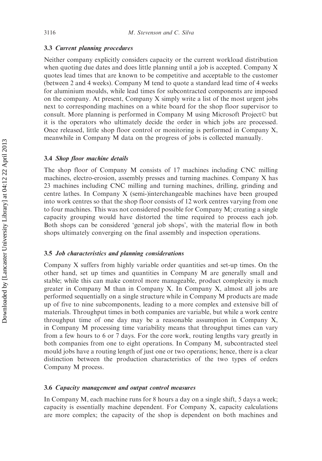#### 3.3 Current planning procedures

Neither company explicitly considers capacity or the current workload distribution when quoting due dates and does little planning until a job is accepted. Company X quotes lead times that are known to be competitive and acceptable to the customer (between 2 and 4 weeks). Company M tend to quote a standard lead time of 4 weeks for aluminium moulds, while lead times for subcontracted components are imposed on the company. At present, Company X simply write a list of the most urgent jobs next to corresponding machines on a white board for the shop floor supervisor to consult. More planning is performed in Company M using Microsoft Project $\odot$  but it is the operators who ultimately decide the order in which jobs are processed. Once released, little shop floor control or monitoring is performed in Company X, meanwhile in Company M data on the progress of jobs is collected manually.

#### 3.4 Shop floor machine details

The shop floor of Company M consists of 17 machines including CNC milling machines, electro-erosion, assembly presses and turning machines. Company X has 23 machines including CNC milling and turning machines, drilling, grinding and centre lathes. In Company X (semi-)interchangeable machines have been grouped into work centres so that the shop floor consists of 12 work centres varying from one to four machines. This was not considered possible for Company M; creating a single capacity grouping would have distorted the time required to process each job. Both shops can be considered 'general job shops', with the material flow in both shops ultimately converging on the final assembly and inspection operations.

#### 3.5 Job characteristics and planning considerations

Company X suffers from highly variable order quantities and set-up times. On the other hand, set up times and quantities in Company M are generally small and stable; while this can make control more manageable, product complexity is much greater in Company M than in Company X. In Company X, almost all jobs are performed sequentially on a single structure while in Company M products are made up of five to nine subcomponents, leading to a more complex and extensive bill of materials. Throughput times in both companies are variable, but while a work centre throughput time of one day may be a reasonable assumption in Company X, in Company M processing time variability means that throughput times can vary from a few hours to 6 or 7 days. For the core work, routing lengths vary greatly in both companies from one to eight operations. In Company M, subcontracted steel mould jobs have a routing length of just one or two operations; hence, there is a clear distinction between the production characteristics of the two types of orders Company M process.

#### 3.6 Capacity management and output control measures

In Company M, each machine runs for 8 hours a day on a single shift, 5 days a week; capacity is essentially machine dependent. For Company X, capacity calculations are more complex; the capacity of the shop is dependent on both machines and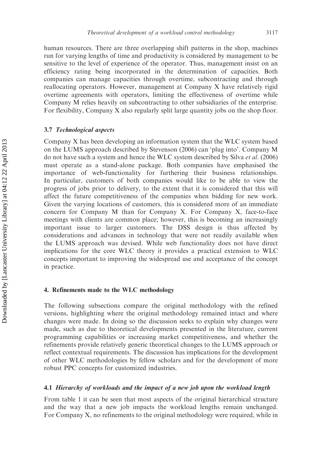human resources. There are three overlapping shift patterns in the shop, machines run for varying lengths of time and productivity is considered by management to be sensitive to the level of experience of the operator. Thus, management insist on an efficiency rating being incorporated in the determination of capacities. Both companies can manage capacities through overtime, subcontracting and through reallocating operators. However, management at Company X have relatively rigid overtime agreements with operators, limiting the effectiveness of overtime while Company M relies heavily on subcontracting to other subsidiaries of the enterprise. For flexibility, Company X also regularly split large quantity jobs on the shop floor.

## 3.7 Technological aspects

Company X has been developing an information system that the WLC system based on the LUMS approach described by Stevenson (2006) can 'plug into'. Company M do not have such a system and hence the WLC system described by Silva *et al.* (2006) must operate as a stand-alone package. Both companies have emphasised the importance of web-functionality for furthering their business relationships. In particular, customers of both companies would like to be able to view the progress of jobs prior to delivery, to the extent that it is considered that this will affect the future competitiveness of the companies when bidding for new work. Given the varying locations of customers, this is considered more of an immediate concern for Company M than for Company X. For Company X, face-to-face meetings with clients are common place; however, this is becoming an increasingly important issue to larger customers. The DSS design is thus affected by considerations and advances in technology that were not readily available when the LUMS approach was devised. While web functionality does not have direct implications for the core WLC theory it provides a practical extension to WLC concepts important to improving the widespread use and acceptance of the concept in practice.

#### 4. Refinements made to the WLC methodology

The following subsections compare the original methodology with the refined versions, highlighting where the original methodology remained intact and where changes were made. In doing so the discussion seeks to explain why changes were made, such as due to theoretical developments presented in the literature, current programming capabilities or increasing market competitiveness, and whether the refinements provide relatively generic theoretical changes to the LUMS approach or reflect contextual requirements. The discussion has implications for the development of other WLC methodologies by fellow scholars and for the development of more robust PPC concepts for customized industries.

#### 4.1 Hierarchy of workloads and the impact of a new job upon the workload length

From table 1 it can be seen that most aspects of the original hierarchical structure and the way that a new job impacts the workload lengths remain unchanged. For Company X, no refinements to the original methodology were required, while in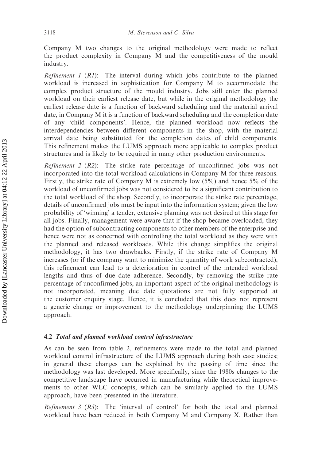Company M two changes to the original methodology were made to reflect the product complexity in Company M and the competitiveness of the mould industry.

*Refinement 1 (R1)*: The interval during which jobs contribute to the planned workload is increased in sophistication for Company M to accommodate the complex product structure of the mould industry. Jobs still enter the planned workload on their earliest release date, but while in the original methodology the earliest release date is a function of backward scheduling and the material arrival date, in Company M it is a function of backward scheduling and the completion date of any 'child components'. Hence, the planned workload now reflects the interdependencies between different components in the shop, with the material arrival date being substituted for the completion dates of child components. This refinement makes the LUMS approach more applicable to complex product structures and is likely to be required in many other production environments.

*Refinement 2 (R2)*: The strike rate percentage of unconfirmed jobs was not incorporated into the total workload calculations in Company M for three reasons. Firstly, the strike rate of Company M is extremely low (5%) and hence 5% of the workload of unconfirmed jobs was not considered to be a significant contribution to the total workload of the shop. Secondly, to incorporate the strike rate percentage, details of unconfirmed jobs must be input into the information system; given the low probability of 'winning' a tender, extensive planning was not desired at this stage for all jobs. Finally, management were aware that if the shop became overloaded, they had the option of subcontracting components to other members of the enterprise and hence were not as concerned with controlling the total workload as they were with the planned and released workloads. While this change simplifies the original methodology, it has two drawbacks. Firstly, if the strike rate of Company M increases (or if the company want to minimize the quantity of work subcontracted), this refinement can lead to a deterioration in control of the intended workload lengths and thus of due date adherence. Secondly, by removing the strike rate percentage of unconfirmed jobs, an important aspect of the original methodology is not incorporated, meaning due date quotations are not fully supported at the customer enquiry stage. Hence, it is concluded that this does not represent a generic change or improvement to the methodology underpinning the LUMS approach.

# 4.2 Total and planned workload control infrastructure

As can be seen from table 2, refinements were made to the total and planned workload control infrastructure of the LUMS approach during both case studies; in general these changes can be explained by the passing of time since the methodology was last developed. More specifically, since the 1980s changes to the competitive landscape have occurred in manufacturing while theoretical improvements to other WLC concepts, which can be similarly applied to the LUMS approach, have been presented in the literature.

*Refinement 3 (R3)*: The 'interval of control' for both the total and planned workload have been reduced in both Company M and Company X. Rather than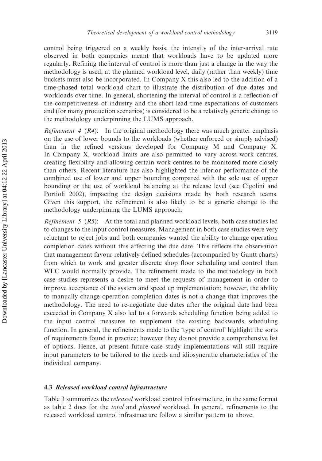control being triggered on a weekly basis, the intensity of the inter-arrival rate observed in both companies meant that workloads have to be updated more regularly. Refining the interval of control is more than just a change in the way the methodology is used; at the planned workload level, daily (rather than weekly) time buckets must also be incorporated. In Company X this also led to the addition of a time-phased total workload chart to illustrate the distribution of due dates and workloads over time. In general, shortening the interval of control is a reflection of the competitiveness of industry and the short lead time expectations of customers and (for many production scenarios) is considered to be a relatively generic change to the methodology underpinning the LUMS approach.

*Refinement 4 (R4)*: In the original methodology there was much greater emphasis on the use of lower bounds to the workloads (whether enforced or simply advised) than in the refined versions developed for Company M and Company X. In Company X, workload limits are also permitted to vary across work centres, creating flexibility and allowing certain work centres to be monitored more closely than others. Recent literature has also highlighted the inferior performance of the combined use of lower and upper bounding compared with the sole use of upper bounding or the use of workload balancing at the release level (see Cigolini and Portioli 2002), impacting the design decisions made by both research teams. Given this support, the refinement is also likely to be a generic change to the methodology underpinning the LUMS approach.

*Refinement 5 (R5)*: At the total and planned workload levels, both case studies led to changes to the input control measures. Management in both case studies were very reluctant to reject jobs and both companies wanted the ability to change operation completion dates without this affecting the due date. This reflects the observation that management favour relatively defined schedules (accompanied by Gantt charts) from which to work and greater discrete shop floor scheduling and control than WLC would normally provide. The refinement made to the methodology in both case studies represents a desire to meet the requests of management in order to improve acceptance of the system and speed up implementation; however, the ability to manually change operation completion dates is not a change that improves the methodology. The need to re-negotiate due dates after the original date had been exceeded in Company X also led to a forwards scheduling function being added to the input control measures to supplement the existing backwards scheduling function. In general, the refinements made to the 'type of control' highlight the sorts of requirements found in practice; however they do not provide a comprehensive list of options. Hence, at present future case study implementations will still require input parameters to be tailored to the needs and idiosyncratic characteristics of the individual company.

#### 4.3 Released workload control infrastructure

Table 3 summarizes the released workload control infrastructure, in the same format as table 2 does for the total and planned workload. In general, refinements to the released workload control infrastructure follow a similar pattern to above.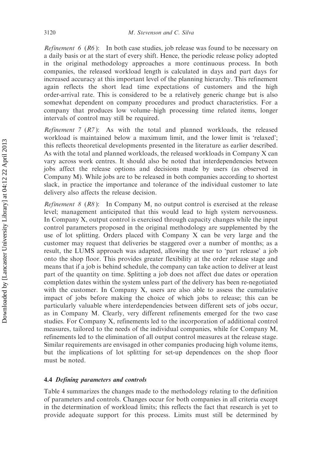*Refinement 6 (R6)*: In both case studies, job release was found to be necessary on a daily basis or at the start of every shift. Hence, the periodic release policy adopted in the original methodology approaches a more continuous process. In both companies, the released workload length is calculated in days and part days for increased accuracy at this important level of the planning hierarchy. This refinement again reflects the short lead time expectations of customers and the high order-arrival rate. This is considered to be a relatively generic change but is also somewhat dependent on company procedures and product characteristics. For a company that produces low volume–high processing time related items, longer intervals of control may still be required.

*Refinement* 7  $(R7)$ : As with the total and planned workloads, the released workload is maintained below a maximum limit, and the lower limit is 'relaxed'; this reflects theoretical developments presented in the literature as earlier described. As with the total and planned workloads, the released workloads in Company X can vary across work centres. It should also be noted that interdependencies between jobs affect the release options and decisions made by users (as observed in Company M). While jobs are to be released in both companies according to shortest slack, in practice the importance and tolerance of the individual customer to late delivery also affects the release decision.

Refinement  $8$  (R8): In Company M, no output control is exercised at the release level; management anticipated that this would lead to high system nervousness. In Company X, output control is exercised through capacity changes while the input control parameters proposed in the original methodology are supplemented by the use of lot splitting. Orders placed with Company X can be very large and the customer may request that deliveries be staggered over a number of months; as a result, the LUMS approach was adapted, allowing the user to 'part release' a job onto the shop floor. This provides greater flexibility at the order release stage and means that if a job is behind schedule, the company can take action to deliver at least part of the quantity on time. Splitting a job does not affect due dates or operation completion dates within the system unless part of the delivery has been re-negotiated with the customer. In Company X, users are also able to assess the cumulative impact of jobs before making the choice of which jobs to release; this can be particularly valuable where interdependencies between different sets of jobs occur, as in Company M. Clearly, very different refinements emerged for the two case studies. For Company X, refinements led to the incorporation of additional control measures, tailored to the needs of the individual companies, while for Company M, refinements led to the elimination of all output control measures at the release stage. Similar requirements are envisaged in other companies producing high volume items, but the implications of lot splitting for set-up dependences on the shop floor must be noted.

## 4.4 Defining parameters and controls

Table 4 summarizes the changes made to the methodology relating to the definition of parameters and controls. Changes occur for both companies in all criteria except in the determination of workload limits; this reflects the fact that research is yet to provide adequate support for this process. Limits must still be determined by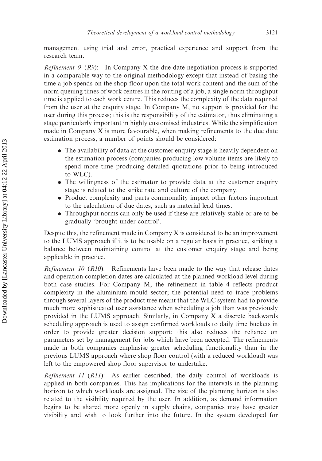management using trial and error, practical experience and support from the research team.

*Refinement 9 (R9)*: In Company X the due date negotiation process is supported in a comparable way to the original methodology except that instead of basing the time a job spends on the shop floor upon the total work content and the sum of the norm queuing times of work centres in the routing of a job, a single norm throughput time is applied to each work centre. This reduces the complexity of the data required from the user at the enquiry stage. In Company M, no support is provided for the user during this process; this is the responsibility of the estimator, thus eliminating a stage particularly important in highly customised industries. While the simplification made in Company X is more favourable, when making refinements to the due date estimation process, a number of points should be considered:

- . The availability of data at the customer enquiry stage is heavily dependent on the estimation process (companies producing low volume items are likely to spend more time producing detailed quotations prior to being introduced to WLC).
- . The willingness of the estimator to provide data at the customer enquiry stage is related to the strike rate and culture of the company.
- . Product complexity and parts commonality impact other factors important to the calculation of due dates, such as material lead times.
- . Throughput norms can only be used if these are relatively stable or are to be gradually 'brought under control'.

Despite this, the refinement made in Company X is considered to be an improvement to the LUMS approach if it is to be usable on a regular basis in practice, striking a balance between maintaining control at the customer enquiry stage and being applicable in practice.

*Refinement 10 (R10)*: Refinements have been made to the way that release dates and operation completion dates are calculated at the planned workload level during both case studies. For Company M, the refinement in table 4 reflects product complexity in the aluminium mould sector; the potential need to trace problems through several layers of the product tree meant that the WLC system had to provide much more sophisticated user assistance when scheduling a job than was previously provided in the LUMS approach. Similarly, in Company X a discrete backwards scheduling approach is used to assign confirmed workloads to daily time buckets in order to provide greater decision support; this also reduces the reliance on parameters set by management for jobs which have been accepted. The refinements made in both companies emphasise greater scheduling functionality than in the previous LUMS approach where shop floor control (with a reduced workload) was left to the empowered shop floor supervisor to undertake.

*Refinement 11 (R11)*: As earlier described, the daily control of workloads is applied in both companies. This has implications for the intervals in the planning horizon to which workloads are assigned. The size of the planning horizon is also related to the visibility required by the user. In addition, as demand information begins to be shared more openly in supply chains, companies may have greater visibility and wish to look further into the future. In the system developed for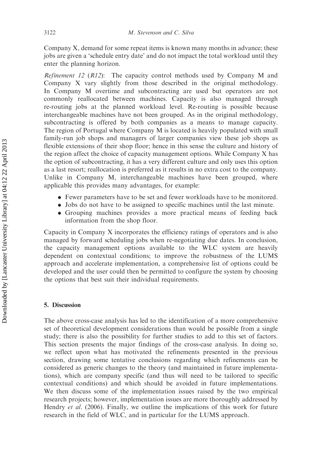Company X, demand for some repeat items is known many months in advance; these jobs are given a 'schedule entry date' and do not impact the total workload until they enter the planning horizon.

*Refinement 12 (R12)*: The capacity control methods used by Company M and Company X vary slightly from those described in the original methodology. In Company M overtime and subcontracting are used but operators are not commonly reallocated between machines. Capacity is also managed through re-routing jobs at the planned workload level. Re-routing is possible because interchangeable machines have not been grouped. As in the original methodology, subcontracting is offered by both companies as a means to manage capacity. The region of Portugal where Company M is located is heavily populated with small family-run job shops and managers of larger companies view these job shops as flexible extensions of their shop floor; hence in this sense the culture and history of the region affect the choice of capacity management options. While Company X has the option of subcontracting, it has a very different culture and only uses this option as a last resort; reallocation is preferred as it results in no extra cost to the company. Unlike in Company M, interchangeable machines have been grouped, where applicable this provides many advantages, for example:

- . Fewer parameters have to be set and fewer workloads have to be monitored.
- . Jobs do not have to be assigned to specific machines until the last minute.
- . Grouping machines provides a more practical means of feeding back information from the shop floor.

Capacity in Company X incorporates the efficiency ratings of operators and is also managed by forward scheduling jobs when re-negotiating due dates. In conclusion, the capacity management options available to the WLC system are heavily dependent on contextual conditions; to improve the robustness of the LUMS approach and accelerate implementation, a comprehensive list of options could be developed and the user could then be permitted to configure the system by choosing the options that best suit their individual requirements.

## 5. Discussion

The above cross-case analysis has led to the identification of a more comprehensive set of theoretical development considerations than would be possible from a single study; there is also the possibility for further studies to add to this set of factors. This section presents the major findings of the cross-case analysis. In doing so, we reflect upon what has motivated the refinements presented in the previous section, drawing some tentative conclusions regarding which refinements can be considered as generic changes to the theory (and maintained in future implementations), which are company specific (and thus will need to be tailored to specific contextual conditions) and which should be avoided in future implementations. We then discuss some of the implementation issues raised by the two empirical research projects; however, implementation issues are more thoroughly addressed by Hendry et al. (2006). Finally, we outline the implications of this work for future research in the field of WLC, and in particular for the LUMS approach.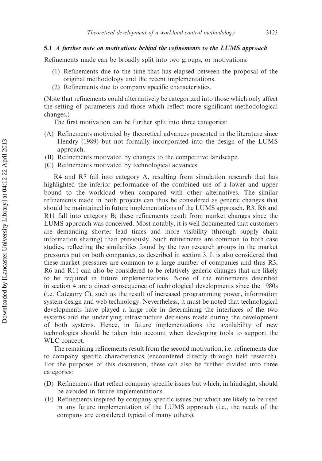#### 5.1 A further note on motivations behind the refinements to the LUMS approach

Refinements made can be broadly split into two groups, or motivations:

- (1) Refinements due to the time that has elapsed between the proposal of the original methodology and the recent implementations.
- (2) Refinements due to company specific characteristics.

(Note that refinements could alternatively be categorized into those which only affect the setting of parameters and those which reflect more significant methodological changes.)

The first motivation can be further split into three categories:

- (A) Refinements motivated by theoretical advances presented in the literature since Hendry (1989) but not formally incorporated into the design of the LUMS approach.
- (B) Refinements motivated by changes to the competitive landscape.
- (C) Refinements motivated by technological advances.

R4 and R7 fall into category A, resulting from simulation research that has highlighted the inferior performance of the combined use of a lower and upper bound to the workload when compared with other alternatives. The similar refinements made in both projects can thus be considered as generic changes that should be maintained in future implementations of the LUMS approach. R3, R6 and R11 fall into category B; these refinements result from market changes since the LUMS approach was conceived. Most notably, it is well documented that customers are demanding shorter lead times and more visibility (through supply chain information sharing) than previously. Such refinements are common to both case studies, reflecting the similarities found by the two research groups in the market pressures put on both companies, as described in section 3. It is also considered that these market pressures are common to a large number of companies and thus R3, R6 and R11 can also be considered to be relatively generic changes that are likely to be required in future implementations. None of the refinements described in section 4 are a direct consequence of technological developments since the 1980s (i.e. Category C), such as the result of increased programming power, information system design and web technology. Nevertheless, it must be noted that technological developments have played a large role in determining the interfaces of the two systems and the underlying infrastructure decisions made during the development of both systems. Hence, in future implementations the availability of new technologies should be taken into account when developing tools to support the WLC concept.

The remaining refinements result from the second motivation, i.e. refinements due to company specific characteristics (encountered directly through field research). For the purposes of this discussion, these can also be further divided into three categories:

- (D) Refinements that reflect company specific issues but which, in hindsight, should be avoided in future implementations.
- (E) Refinements inspired by company specific issues but which are likely to be used in any future implementation of the LUMS approach (i.e., the needs of the company are considered typical of many others).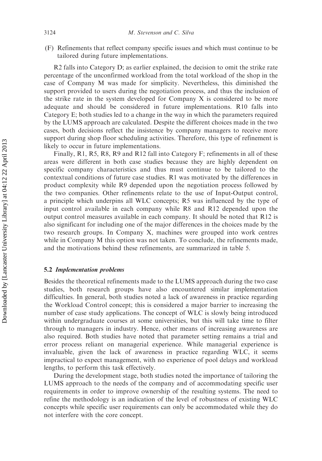(F) Refinements that reflect company specific issues and which must continue to be tailored during future implementations.

R2 falls into Category D; as earlier explained, the decision to omit the strike rate percentage of the unconfirmed workload from the total workload of the shop in the case of Company M was made for simplicity. Nevertheless, this diminished the support provided to users during the negotiation process, and thus the inclusion of the strike rate in the system developed for Company X is considered to be more adequate and should be considered in future implementations. R10 falls into Category E; both studies led to a change in the way in which the parameters required by the LUMS approach are calculated. Despite the different choices made in the two cases, both decisions reflect the insistence by company managers to receive more support during shop floor scheduling activities. Therefore, this type of refinement is likely to occur in future implementations.

Finally, R1, R5, R8, R9 and R12 fall into Category F; refinements in all of these areas were different in both case studies because they are highly dependent on specific company characteristics and thus must continue to be tailored to the contextual conditions of future case studies. R1 was motivated by the differences in product complexity while R9 depended upon the negotiation process followed by the two companies. Other refinements relate to the use of Input-Output control, a principle which underpins all WLC concepts; R5 was influenced by the type of input control available in each company while R8 and R12 depended upon the output control measures available in each company. It should be noted that R12 is also significant for including one of the major differences in the choices made by the two research groups. In Company X, machines were grouped into work centres while in Company M this option was not taken. To conclude, the refinements made, and the motivations behind these refinements, are summarized in table 5.

#### 5.2 Implementation problems

Besides the theoretical refinements made to the LUMS approach during the two case studies, both research groups have also encountered similar implementation difficulties. In general, both studies noted a lack of awareness in practice regarding the Workload Control concept; this is considered a major barrier to increasing the number of case study applications. The concept of WLC is slowly being introduced within undergraduate courses at some universities, but this will take time to filter through to managers in industry. Hence, other means of increasing awareness are also required. Both studies have noted that parameter setting remains a trial and error process reliant on managerial experience. While managerial experience is invaluable, given the lack of awareness in practice regarding WLC, it seems impractical to expect management, with no experience of pool delays and workload lengths, to perform this task effectively.

During the development stage, both studies noted the importance of tailoring the LUMS approach to the needs of the company and of accommodating specific user requirements in order to improve ownership of the resulting systems. The need to refine the methodology is an indication of the level of robustness of existing WLC concepts while specific user requirements can only be accommodated while they do not interfere with the core concept.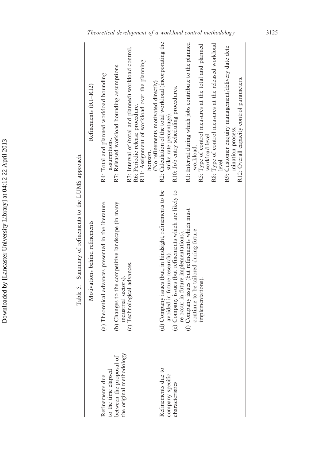| $\frac{1}{2}$                                     |
|---------------------------------------------------|
| ֖֖֖֖֖֧ׅ֧ׅ֚֚֚֚֚֚֚֚֚֚֚֚֚֚֚֚֚֚֚֚֚֚֚֚֚֚֚֚֬֝֝֬֓֞<br>í. |
| ہ<br>،<br>l                                       |
|                                                   |
| 1<br>I                                            |
|                                                   |
| ı                                                 |
| i<br>I<br>ļ                                       |
|                                                   |
| ֡֡֡֡֡֡                                            |
|                                                   |
|                                                   |
| ׇ֚֚֡֬<br>ļ                                        |

|                                                    | Summary of refinements to the LUMS approach.<br>Table 5.                                       |                                                                                          |
|----------------------------------------------------|------------------------------------------------------------------------------------------------|------------------------------------------------------------------------------------------|
|                                                    | Motivations behind refinements                                                                 | Refinements (R1-R12)                                                                     |
| o the time elapsed<br>Refinements due              | (a) Theoretical advances presented in the literature.                                          | R4: Total and planned workload bounding<br>assumptions.                                  |
| he original methodology<br>between the proposal of | (b) Changes to the competitive landscape (in many<br>industrial sectors).                      | R7: Released workload bounding assumptions.                                              |
|                                                    | (c) Technological advances.                                                                    | R3: Interval of (total and planned) workload control.<br>R6: Periodic release procedure. |
|                                                    |                                                                                                | R11: Assignment of workload over the planning<br>horizon.                                |
|                                                    |                                                                                                | (No refinements motivated directly)                                                      |
| Refinements due to<br>company specific             | (d) Company issues (but, in hindsight, refinements to be<br>avoided in future research).       | R2: Calculation of the total workload (incorporating the<br>strike rate percentage).     |
| characteristics                                    | (e) Company issues (but refinements which are likely to<br>re-occur in future implementations) | R10: Job entry scheduling procedures.                                                    |
|                                                    | (f) Company issues (but refinements which must                                                 | R1: Interval during which jobs contribute to the planned                                 |
|                                                    | continue to be tailored during future<br>implementations).                                     | R5: Type of control measures at the total and planned<br>workload.                       |
|                                                    |                                                                                                | workload level.                                                                          |
|                                                    |                                                                                                | R8: Type of control measures at the released workload<br>level.                          |
|                                                    |                                                                                                | R9: Customer enquiry management/delivery date dete                                       |
|                                                    |                                                                                                | mination process.                                                                        |
|                                                    |                                                                                                | R12: Overall capacity control parameters.                                                |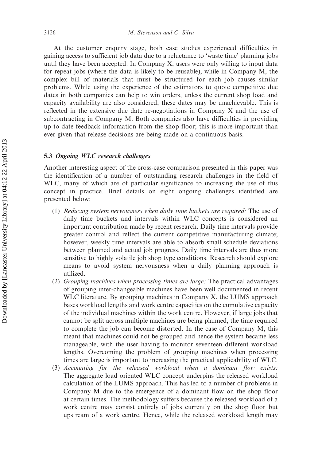At the customer enquiry stage, both case studies experienced difficulties in gaining access to sufficient job data due to a reluctance to 'waste time' planning jobs until they have been accepted. In Company X, users were only willing to input data for repeat jobs (where the data is likely to be reusable), while in Company M, the complex bill of materials that must be structured for each job causes similar problems. While using the experience of the estimators to quote competitive due dates in both companies can help to win orders, unless the current shop load and capacity availability are also considered, these dates may be unachievable. This is reflected in the extensive due date re-negotiations in Company X and the use of subcontracting in Company M. Both companies also have difficulties in providing up to date feedback information from the shop floor; this is more important than ever given that release decisions are being made on a continuous basis.

# 5.3 Ongoing WLC research challenges

Another interesting aspect of the cross-case comparison presented in this paper was the identification of a number of outstanding research challenges in the field of WLC, many of which are of particular significance to increasing the use of this concept in practice. Brief details on eight ongoing challenges identified are presented below:

- (1) Reducing system nervousness when daily time buckets are required: The use of daily time buckets and intervals within WLC concepts is considered an important contribution made by recent research. Daily time intervals provide greater control and reflect the current competitive manufacturing climate; however, weekly time intervals are able to absorb small schedule deviations between planned and actual job progress. Daily time intervals are thus more sensitive to highly volatile job shop type conditions. Research should explore means to avoid system nervousness when a daily planning approach is utilized.
- (2) Grouping machines when processing times are large: The practical advantages of grouping inter-changeable machines have been well documented in recent WLC literature. By grouping machines in Company X, the LUMS approach bases workload lengths and work centre capacities on the cumulative capacity of the individual machines within the work centre. However, if large jobs that cannot be split across multiple machines are being planned, the time required to complete the job can become distorted. In the case of Company M, this meant that machines could not be grouped and hence the system became less manageable, with the user having to monitor seventeen different workload lengths. Overcoming the problem of grouping machines when processing times are large is important to increasing the practical applicability of WLC.
- (3) Accounting for the released workload when a dominant flow exists: The aggregate load oriented WLC concept underpins the released workload calculation of the LUMS approach. This has led to a number of problems in Company M due to the emergence of a dominant flow on the shop floor at certain times. The methodology suffers because the released workload of a work centre may consist entirely of jobs currently on the shop floor but upstream of a work centre. Hence, while the released workload length may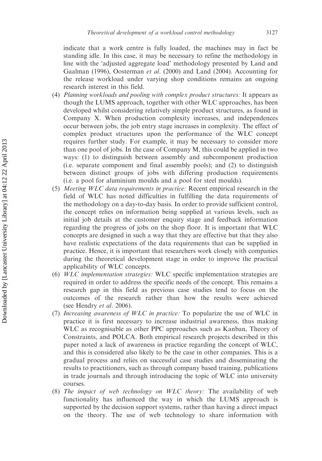indicate that a work centre is fully loaded, the machines may in fact be standing idle. In this case, it may be necessary to refine the methodology in line with the 'adjusted aggregate load' methodology presented by Land and Gaalman (1996), Oosterman et al. (2000) and Land (2004). Accounting for the release workload under varying shop conditions remains an ongoing research interest in this field.

- (4) Planning workloads and pooling with complex product structures: It appears as though the LUMS approach, together with other WLC approaches, has been developed whilst considering relatively simple product structures, as found in Company X. When production complexity increases, and independences occur between jobs, the job entry stage increases in complexity. The effect of complex product structures upon the performance of the WLC concept requires further study. For example, it may be necessary to consider more than one pool of jobs. In the case of Company M, this could be applied in two ways: (1) to distinguish between assembly and subcomponent production (i.e. separate component and final assembly pools); and (2) to distinguish between distinct groups of jobs with differing production requirements (i.e. a pool for aluminium moulds and a pool for steel moulds).
- (5) Meeting WLC data requirements in practice: Recent empirical research in the field of WLC has noted difficulties in fulfilling the data requirements of the methodology on a day-to-day basis. In order to provide sufficient control, the concept relies on information being supplied at various levels, such as initial job details at the customer enquiry stage and feedback information regarding the progress of jobs on the shop floor. It is important that WLC concepts are designed in such a way that they are effective but that they also have realistic expectations of the data requirements that can be supplied in practice. Hence, it is important that researchers work closely with companies during the theoretical development stage in order to improve the practical applicability of WLC concepts.
- (6) WLC implementation strategies: WLC specific implementation strategies are required in order to address the specific needs of the concept. This remains a research gap in this field as previous case studies tend to focus on the outcomes of the research rather than how the results were achieved (see Hendry et al. 2006).
- (7) Increasing awareness of WLC in practice: To popularize the use of WLC in practice it is first necessary to increase industrial awareness, thus making WLC as recognisable as other PPC approaches such as Kanban, Theory of Constraints, and POLCA. Both empirical research projects described in this paper noted a lack of awareness in practice regarding the concept of WLC, and this is considered also likely to be the case in other companies. This is a gradual process and relies on successful case studies and disseminating the results to practitioners, such as through company based training, publications in trade journals and through introducing the topic of WLC into university courses.
- (8) The impact of web technology on WLC theory: The availability of web functionality has influenced the way in which the LUMS approach is supported by the decision support systems, rather than having a direct impact on the theory. The use of web technology to share information with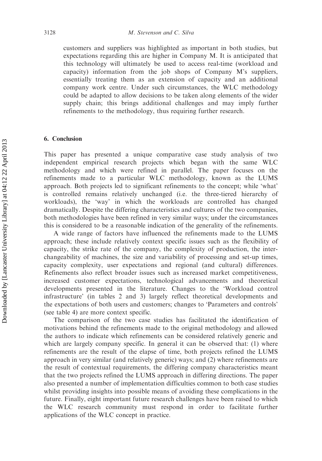customers and suppliers was highlighted as important in both studies, but expectations regarding this are higher in Company M. It is anticipated that this technology will ultimately be used to access real-time (workload and capacity) information from the job shops of Company M's suppliers, essentially treating them as an extension of capacity and an additional company work centre. Under such circumstances, the WLC methodology could be adapted to allow decisions to be taken along elements of the wider supply chain; this brings additional challenges and may imply further refinements to the methodology, thus requiring further research.

#### 6. Conclusion

This paper has presented a unique comparative case study analysis of two independent empirical research projects which began with the same WLC methodology and which were refined in parallel. The paper focuses on the refinements made to a particular WLC methodology, known as the LUMS approach. Both projects led to significant refinements to the concept; while 'what' is controlled remains relatively unchanged (i.e. the three-tiered hierarchy of workloads), the 'way' in which the workloads are controlled has changed dramatically. Despite the differing characteristics and cultures of the two companies, both methodologies have been refined in very similar ways; under the circumstances this is considered to be a reasonable indication of the generality of the refinements.

A wide range of factors have influenced the refinements made to the LUMS approach; these include relatively context specific issues such as the flexibility of capacity, the strike rate of the company, the complexity of production, the interchangeability of machines, the size and variability of processing and set-up times, capacity complexity, user expectations and regional (and cultural) differences. Refinements also reflect broader issues such as increased market competitiveness, increased customer expectations, technological advancements and theoretical developments presented in the literature. Changes to the 'Workload control infrastructure' (in tables 2 and 3) largely reflect theoretical developments and the expectations of both users and customers; changes to 'Parameters and controls' (see table 4) are more context specific.

The comparison of the two case studies has facilitated the identification of motivations behind the refinements made to the original methodology and allowed the authors to indicate which refinements can be considered relatively generic and which are largely company specific. In general it can be observed that: (1) where refinements are the result of the elapse of time, both projects refined the LUMS approach in very similar (and relatively generic) ways; and (2) where refinements are the result of contextual requirements, the differing company characteristics meant that the two projects refined the LUMS approach in differing directions. The paper also presented a number of implementation difficulties common to both case studies whilst providing insights into possible means of avoiding these complications in the future. Finally, eight important future research challenges have been raised to which the WLC research community must respond in order to facilitate further applications of the WLC concept in practice.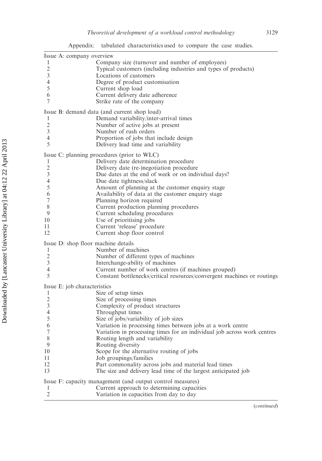| Issue A: company overview           |                                                                         |
|-------------------------------------|-------------------------------------------------------------------------|
| 1                                   | Company size (turnover and number of employees)                         |
| $\sqrt{2}$                          | Typical customers (including industries and types of products)          |
| $\mathfrak{Z}$                      | Locations of customers                                                  |
| $\overline{4}$                      | Degree of product customisation                                         |
| 5                                   | Current shop load                                                       |
| 6                                   | Current delivery date adherence                                         |
| 7                                   | Strike rate of the company                                              |
|                                     | Issue B: demand data (and current shop load)                            |
| 1                                   | Demand variability/inter-arrival times                                  |
| $\mathfrak{2}$                      | Number of active jobs at present                                        |
| 3                                   | Number of rush orders                                                   |
| $\overline{4}$                      | Proportion of jobs that include design                                  |
| 5                                   | Delivery lead time and variability                                      |
|                                     | Issue C: planning procedures (prior to WLC)                             |
| 1                                   | Delivery date determination procedure                                   |
| $\overline{c}$                      | Delivery date (re-)negotiation procedure                                |
| $\mathfrak{Z}$                      | Due dates at the end of week or on individual days?                     |
| 4                                   | Due date tightness/slack                                                |
| 5                                   | Amount of planning at the customer enquiry stage                        |
| 6                                   | Availability of data at the customer enquiry stage                      |
| $\tau$                              | Planning horizon required                                               |
| 8                                   | Current production planning procedures                                  |
| 9                                   | Current scheduling procedures                                           |
| 10                                  | Use of prioritising jobs                                                |
| 11                                  | Current 'release' procedure                                             |
| 12                                  | Current shop floor control                                              |
| Issue D: shop floor machine details |                                                                         |
| 1                                   | Number of machines                                                      |
| 2                                   | Number of different types of machines                                   |
| 3                                   | Interchange-ability of machines                                         |
| $\overline{4}$<br>5                 | Current number of work centres (if machines grouped)                    |
|                                     | Constant bottlenecks/critical resources/convergent machines or routings |
| Issue E: job characteristics        |                                                                         |
| 1                                   | Size of setup times                                                     |
| 2                                   | Size of processing times                                                |
| 3<br>$\overline{4}$                 | Complexity of product structures                                        |
| $\sqrt{5}$                          | Throughput times<br>Size of jobs/variability of job sizes               |
| 6                                   | Variation in processing times between jobs at a work centre             |
| 7                                   | Variation in processing times for an individual job across work centres |
| 8                                   | Routing length and variability                                          |
| 9                                   | Routing diversity                                                       |
| 10                                  | Scope for the alternative routing of jobs                               |
| 11                                  | Job groupings/families                                                  |
| 12                                  | Part commonality across jobs and material lead times                    |
| 13                                  | The size and delivery lead time of the largest anticipated job          |
|                                     |                                                                         |
|                                     | Issue F: capacity management (and output control measures)              |
| 1<br>$\overline{2}$                 | Current approach to determining capacities                              |
|                                     | Variation in capacities from day to day                                 |
|                                     |                                                                         |

Appendix: tabulated characteristics used to compare the case studies.

(continued)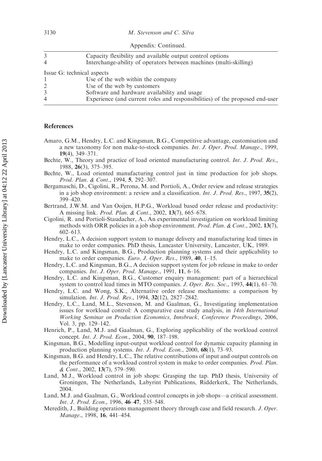Appendix: Continued.

| 3<br>$\overline{4}$        | Capacity flexibility and available output control options<br>Interchange-ability of operators between machines (multi-skilling) |
|----------------------------|---------------------------------------------------------------------------------------------------------------------------------|
| Issue G: technical aspects |                                                                                                                                 |
|                            | Use of the web within the company                                                                                               |
| 2                          | Use of the web by customers                                                                                                     |
| 3                          | Software and hardware availability and usage                                                                                    |
| $\overline{4}$             | Experience (and current roles and responsibilities) of the proposed end-user                                                    |

### **References**

- Amaro, G.M., Hendry, L.C. and Kingsman, B.G., Competitive advantage, customisation and a new taxonomy for non make-to-stock companies. Int. J. Oper. Prod. Manage., 1999, 19(4), 349–371.
- Bechte, W., Theory and practice of load oriented manufacturing control. Int. J. Prod. Res., 1988, 26(3), 375–395.
- Bechte, W., Load oriented manufacturing control just in time production for job shops. Prod. Plan. & Cont., 1994, 5, 292–307.
- Bergamaschi, D., Cigolini, R., Perona, M. and Portioli, A., Order review and release strategies in a job shop environment: a review and a classification. Int. J. Prod. Res., 1997, 35(2), 399–420.
- Bertrand, J.W.M. and Van Ooijen, H.P.G., Workload based order release and productivity: A missing link. Prod. Plan. & Cont., 2002, 13(7), 665–678.
- Cigolini, R. and Portioli-Staudacher, A., An experimental investigation on workload limiting methods with ORR policies in a job shop environment. *Prod. Plan. & Cont.*, 2002, 13(7), 602–613.
- Hendry, L.C., A decision support system to manage delivery and manufacturing lead times in make to order companies. PhD thesis, Lancaster University, Lancaster, UK, 1989.
- Hendry, L.C. and Kingsman, B.G., Production planning systems and their applicability to make to order companies. Euro. J. Oper. Res., 1989, 40, 1-15.
- Hendry, L.C. and Kingsman, B.G., A decision support system for job release in make to order companies. Int. J. Oper. Prod. Manage., 1991, 11, 6–16.
- Hendry, L.C. and Kingsman, B.G., Customer enquiry management: part of a hierarchical system to control lead times in MTO companies. J. Oper. Res. Soc., 1993, 44(1), 61–70.
- Hendry, L.C. and Wong, S.K., Alternative order release mechanisms: a comparison by simulation. *Int. J. Prod. Res.*, 1994, 32(12), 2827-2842.
- Hendry, L.C., Land, M.L., Stevenson, M. and Gaalman, G., Investigating implementation issues for workload control: A comparative case study analysis, in 14th International Working Seminar on Production Economics, Innsbruck, Conference Proceedings, 2006, Vol. 3, pp. 129–142.
- Henrich, P., Land, M.J. and Gaalman, G., Exploring applicability of the workload control concept. Int. J. Prod. Econ., 2004, 90, 187–198.
- Kingsman, B.G., Modelling input-output workload control for dynamic capacity planning in production planning systems. Int. J. Prod. Econ., 2000, 68(1), 73–93.
- Kingsman, B.G. and Hendry, L.C., The relative contributions of input and output controls on the performance of a workload control system in make to order companies. Prod. Plan. & Cont., 2002, 13(7), 579–590.
- Land, M.J., Workload control in job shops: Grasping the tap. PhD thesis, University of Groningen, The Netherlands, Labyrint Publications, Ridderkerk, The Netherlands, 2004.
- Land, M.J. and Gaalman, G., Workload control concepts in job shops—a critical assessment. Int. J. Prod. Econ., 1996, 46-47, 535-548.
- Meredith, J., Building operations management theory through case and field research. J. Oper. Manage., 1998, 16, 441–454.